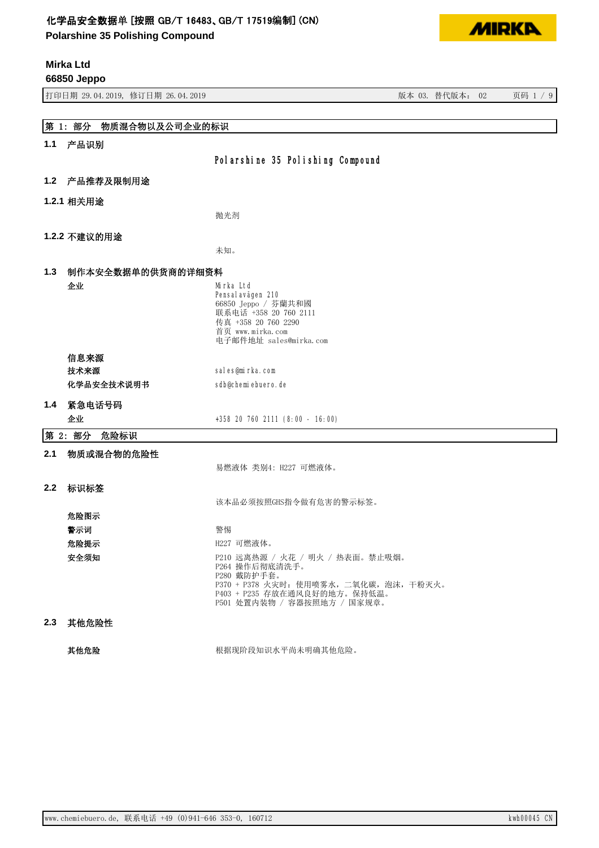**Polarshine 35 Polishing Compound**

**Mirka Ltd**



|     | 66850 Jeppo                      |                                                                                                                                                                            |                 |          |
|-----|----------------------------------|----------------------------------------------------------------------------------------------------------------------------------------------------------------------------|-----------------|----------|
|     | 打印日期 29.04.2019, 修订日期 26.04.2019 |                                                                                                                                                                            | 版本 03. 替代版本: 02 | 页码 1 / 9 |
|     |                                  |                                                                                                                                                                            |                 |          |
|     | 第 1: 部分<br>物质混合物以及公司企业的标识        |                                                                                                                                                                            |                 |          |
| 1.1 | 产品识别                             |                                                                                                                                                                            |                 |          |
|     |                                  | Polarshine 35 Polishing Compound                                                                                                                                           |                 |          |
| 1.2 | 产品推荐及限制用途                        |                                                                                                                                                                            |                 |          |
|     | 1.2.1 相关用途                       |                                                                                                                                                                            |                 |          |
|     |                                  | 抛光剂                                                                                                                                                                        |                 |          |
|     | 1.2.2 不建议的用途                     |                                                                                                                                                                            |                 |          |
|     |                                  | 未知。                                                                                                                                                                        |                 |          |
| 1.3 | 制作本安全数据单的供货商的详细资料                |                                                                                                                                                                            |                 |          |
|     | 企业                               | Mirka Ltd<br>Pensal avägen 210<br>66850 Jeppo / 芬蘭共和國<br>联系电话 +358 20 760 2111<br>传真 +358 20 760 2290<br>首页 www.mirka.com<br>电子邮件地址 sales@mirka.com                        |                 |          |
|     | 信息来源                             |                                                                                                                                                                            |                 |          |
|     | 技术来源                             | sales@mirka.com                                                                                                                                                            |                 |          |
|     | 化学品安全技术说明书                       | sdb@chemiebuero.de                                                                                                                                                         |                 |          |
| 1.4 | 紧急电话号码                           |                                                                                                                                                                            |                 |          |
|     | 企业                               | +358 20 760 2111 (8:00 - 16:00)                                                                                                                                            |                 |          |
|     | 第 2: 部分<br>危险标识                  |                                                                                                                                                                            |                 |          |
| 2.1 | 物质或混合物的危险性                       | 易燃液体 类别4: H227 可燃液体。                                                                                                                                                       |                 |          |
| 2.2 | 标识标签                             |                                                                                                                                                                            |                 |          |
|     |                                  | 该本品必须按照GHS指令做有危害的警示标签。                                                                                                                                                     |                 |          |
|     | 危险图示                             |                                                                                                                                                                            |                 |          |
|     | 警示词                              | 警惕                                                                                                                                                                         |                 |          |
|     | 危险提示                             | H227 可燃液体。                                                                                                                                                                 |                 |          |
|     | 安全须知                             | P210 远离热源 / 火花 / 明火 / 热表面。禁止吸烟。<br>P264 操作后彻底清洗手。<br>P280 戴防护手套。<br>P370 + P378 火灾时: 使用喷雾水, 二氧化碳, 泡沫, 干粉灭火。<br>P403 + P235 存放在通风良好的地方。保持低温。<br>P501 处置内装物 / 容器按照地方 / 国家规章。 |                 |          |
| 2.3 | 其他危险性                            |                                                                                                                                                                            |                 |          |

ަԆড䲙 ṩᦞ⧠䱦⇥⸕䇶≤ᒣቊᵚ᰾⺞ަԆড䲙DŽ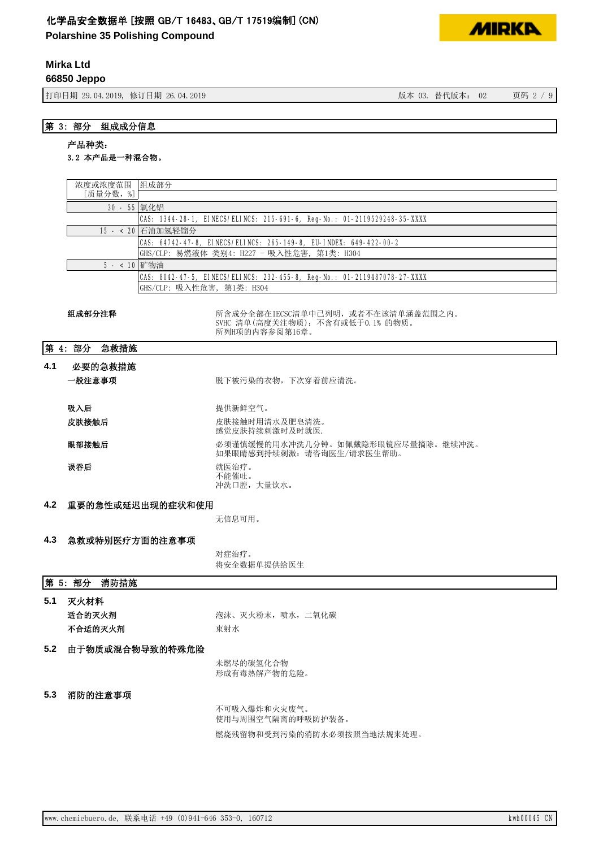**Polarshine 35 Polishing Compound**

# **Mirka Ltd**

**66850 Jeppo**

ᢃঠᰕᵏ؞䇒ᰕᵏ ⡸ᵜᴯԓ⡸ᵜ˖ 亥⸱

**MIRKA** 

# 第 3: 部分 组成成分信息

# 产品种类:

# 3.2 本产品是一种混合物。

|     | 浓度或浓度范围 组成部分                                                                     |                                                                          |  |  |
|-----|----------------------------------------------------------------------------------|--------------------------------------------------------------------------|--|--|
|     | [质量分数,%]<br>30 - 55 氧化铝                                                          |                                                                          |  |  |
|     |                                                                                  | CAS: 1344-28-1, EINECS/ELINCS: 215-691-6, Reg-No.: 01-2119529248-35-XXXX |  |  |
|     |                                                                                  | 15 - < 20 石油加氢轻馏分                                                        |  |  |
|     |                                                                                  | CAS: 64742-47-8, EINECS/ELINCS: 265-149-8, EU-INDEX: 649-422-00-2        |  |  |
|     |                                                                                  | GHS/CLP: 易燃液体 类别4: H227 - 吸入性危害, 第1类: H304                               |  |  |
|     | 5 - < 10 矿物油                                                                     |                                                                          |  |  |
|     |                                                                                  | CAS: 8042-47-5, EINECS/ELINCS: 232-455-8, Reg-No.: 01-2119487078-27-XXXX |  |  |
|     |                                                                                  | GHS/CLP: 吸入性危害, 第1类: H304                                                |  |  |
|     | 组成部分注释<br>所含成分全部在IECSC清单中已列明, 或者不在该清单涵盖范围之内。<br>SVHC 清单(高度关注物质): 不含有或低于0.1% 的物质。 |                                                                          |  |  |
|     |                                                                                  | 所列H项的内容参阅第16章。                                                           |  |  |
|     | 第 4: 部分<br>急救措施                                                                  |                                                                          |  |  |
| 4.1 | 必要的急救措施                                                                          |                                                                          |  |  |
|     | 一般注意事项                                                                           | 脱下被污染的衣物, 下次穿着前应清洗。                                                      |  |  |
|     |                                                                                  |                                                                          |  |  |
|     | 吸入后                                                                              | 提供新鲜空气。                                                                  |  |  |
|     | 皮肤接触后                                                                            | 皮肤接触时用清水及肥皂清洗。<br>感觉皮肤持续刺激时及时就医.                                         |  |  |
|     | 眼部接触后                                                                            | 必须谨慎缓慢的用水冲洗几分钟。如佩戴隐形眼镜应尽量摘除。继续冲洗。<br>如果眼睛感到持续刺激: 请咨询医生/请求医生帮助。           |  |  |
|     | 误吞后                                                                              | 就医治疗。<br>不能催吐。<br>冲洗口腔,大量饮水。                                             |  |  |
| 4.2 | 重要的急性或延迟出现的症状和使用                                                                 |                                                                          |  |  |
|     | 无信息可用。                                                                           |                                                                          |  |  |
|     |                                                                                  |                                                                          |  |  |
| 4.3 | 急救或特别医疗方面的注意事项                                                                   |                                                                          |  |  |
|     |                                                                                  | 对症治疗。                                                                    |  |  |
|     |                                                                                  | 将安全数据单提供给医生                                                              |  |  |
|     | 第 5: 部分<br>消防措施                                                                  |                                                                          |  |  |
| 5.1 | 灭火材料                                                                             |                                                                          |  |  |
|     | 适合的灭火剂                                                                           | 泡沫、灭火粉末, 喷水, 二氧化碳                                                        |  |  |
|     | 不合适的灭火剂                                                                          | 束射水                                                                      |  |  |
| 5.2 | 由于物质或混合物导致的特殊危险                                                                  |                                                                          |  |  |
|     |                                                                                  | 未燃尽的碳氢化合物                                                                |  |  |
|     |                                                                                  | 形成有毒热解产物的危险。                                                             |  |  |
|     |                                                                                  |                                                                          |  |  |
| 5.3 | 消防的注意事项                                                                          |                                                                          |  |  |
|     |                                                                                  | 不可吸入爆炸和火灾废气。                                                             |  |  |
|     |                                                                                  | 使用与周围空气隔离的呼吸防护装备。                                                        |  |  |
|     |                                                                                  | 燃烧残留物和受到污染的消防水必须按照当地法规来处理。                                               |  |  |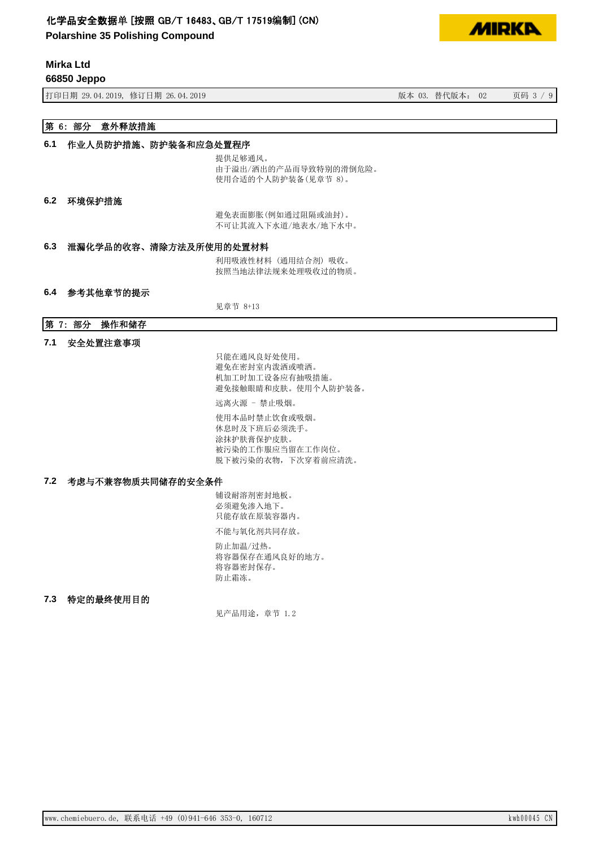**Polarshine 35 Polishing Compound**



**66850 Jeppo**

打印日期 29.04.2019, 修订日期 26.04.2019 28:00 20:00 20:00 20:00 20:00 20:00 20:00 20:00 20:00 20:00 20:00 20:00 20:00 20:00 20:00 20:00 20:00 20:00 20:00 20:00 20:00 20:00 20:00 20:00 20:00 20:00 20:00 20:00 20:00 20:00 20:00 20:

**MIDKD** 

# 第 6: 部分 意外释放措施

### 6.1 作业人员防护措施、防护装备和应急处置程序

提供足够通风。 由于溢出/洒出的产品而导致特别的滑倒危险。 使用合适的个人防护装备(见章节 8)。

#### 6.2 环境保护措施

避免表面膨胀(例如通过阻隔或油封)。 不可让其流入下水道/地表水/地下水中。

## 6.3 泄漏化学品的收容、清除方法及所使用的处置材料

利用吸液性材料(通用结合剂)吸收。 按照当地法律法规来处理吸收过的物质。

#### 6.4 参考其他章节的提示

见章节 8+13

## 第 7: 部分 操作和储存

7.1 安全处置注意事项

只能在通风良好处使用。 避免在密封室内泼洒或喷洒。 机加工时加工设备应有抽吸措施。 避免接触眼睛和皮肤。使用个人防护装备。

远离火源 - 禁止吸烟。

使用本品时禁止饮食或吸烟。 休息时及下班后必须洗手。 涂抹护肤膏保护皮肤。 被污染的工作服应当留在工作岗位。 脱下被污染的衣物,下次穿着前应清洗。

## 7.2 考虑与不兼容物质共同储存的安全条件

铺设耐溶剂密封地板。 必须避免渗入地下。 只能存放在原装容器内。

不能与氧化剂共同存放。

防止加温/过热。 将容器保存在通风良好的地方。 将容器密封保存。 防止霜冻。

#### 7.3 特定的最终使用目的

见产品用途, 章节 1.2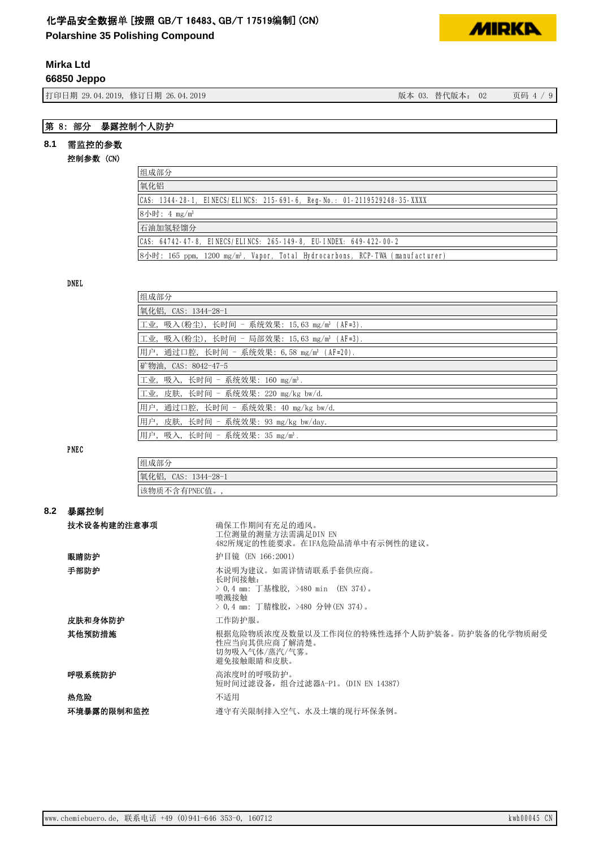**Polarshine 35 Polishing Compound**

# **Mirka Ltd**

**66850 Jeppo**

{1} 50.04.2019, 修订日期 26.04.2019 (19) 12:00 12:00 12:00 12:00 12:00 12:00 12:00 12:00 12:00 12:00 12:00 12:00 1



## 第 8: 部分 暴露控制个人防护

# 8.1 需监控的参数

控制参数 (CN)

| 组成部分                                                                                     |
|------------------------------------------------------------------------------------------|
| 氧化铝                                                                                      |
| CAS: 1344-28-1, EINECS/ELINCS: 215-691-6, Reg-No.: 01-2119529248-35-XXXX                 |
| 8小时: 4 mg/m <sup>3</sup>                                                                 |
| 石油加氢轻馏分                                                                                  |
| CAS: 64742-47-8, EINECS/ELINCS: 265-149-8, EU-INDEX: 649-422-00-2                        |
| 8小时: 165 ppm, 1200 mg/m <sup>3</sup> , Vapor, Total Hydrocarbons, RCP-TWA (manufacturer) |

#### DNEL

| 组成部分                                                    |  |  |
|---------------------------------------------------------|--|--|
| 氧化铝,CAS: 1344-28-1                                      |  |  |
| 工业,吸入(粉尘),长时间 - 系统效果: 15,63 mg/m <sup>3</sup> (AF=3).   |  |  |
| 工业, 吸入(粉尘), 长时间 - 局部效果: 15,63 mg/m <sup>3</sup> (AF=3). |  |  |
| 用户,通过口腔,长时间 - 系统效果: 6,58 mg/m <sup>3</sup> (AF=20).     |  |  |
| 矿物油, CAS: 8042-47-5                                     |  |  |
| 工业, 吸入, 长时间 - 系统效果: 160 mg/m <sup>3</sup> .             |  |  |
| 工业, 皮肤, 长时间 - 系统效果: 220 mg/kg bw/d.                     |  |  |
| 用户,通过口腔,长时间 - 系统效果: 40 mg/kg bw/d.                      |  |  |
| 用户,皮肤,长时间 - 系统效果: 93 mg/kg bw/day.                      |  |  |
| 用户,吸入,长时间 - 系统效果:35 mg/m <sup>3</sup> .                 |  |  |

PNEC

| 组成部分                   |  |
|------------------------|--|
| 氧化铝,<br>CAS: 1344-28-1 |  |
| 该物质不含<br>*有PNEC值。      |  |

#### ࡦ䵢᧗᳤ **8.2**

| 技术设备构建的注意事项 | 确保工作期间有充足的通风。<br>工位测量的测量方法需满足DIN EN<br>482所规定的性能要求。在IFA危险品清单中有示例性的建议。                                           |
|-------------|-----------------------------------------------------------------------------------------------------------------|
| 眼睛防护        | 护目镜 (EN 166:2001)                                                                                               |
| 手部防护        | 本说明为建议。如需详情请联系手套供应商。<br>长时间接触:<br>> 0.4 mm: 丁基橡胶,>480 min (EN 374)。<br>喷溅接触<br>> 0.4 mm: 丁腈橡胶, >480 分钟(EN 374)。 |
| 皮肤和身体防护     | 工作防护服。                                                                                                          |
| 其他预防措施      | 根据危险物质浓度及数量以及工作岗位的特殊性选择个人防护装备。防护装备的化学物质耐受<br>性应当向其供应商了解清楚。<br>切勿吸入气体/蒸汽/气雾。<br>避免接触眼睛和皮肤。                       |
| 呼吸系统防护      | 高浓度时的呼吸防护。<br>短时间过滤设备, 组合过滤器A-P1。(DIN EN 14387)                                                                 |
| 热危险         | 不适用                                                                                                             |
| 环境暴露的限制和监控  | 遵守有关限制排入空气、水及土壤的现行环保条例。                                                                                         |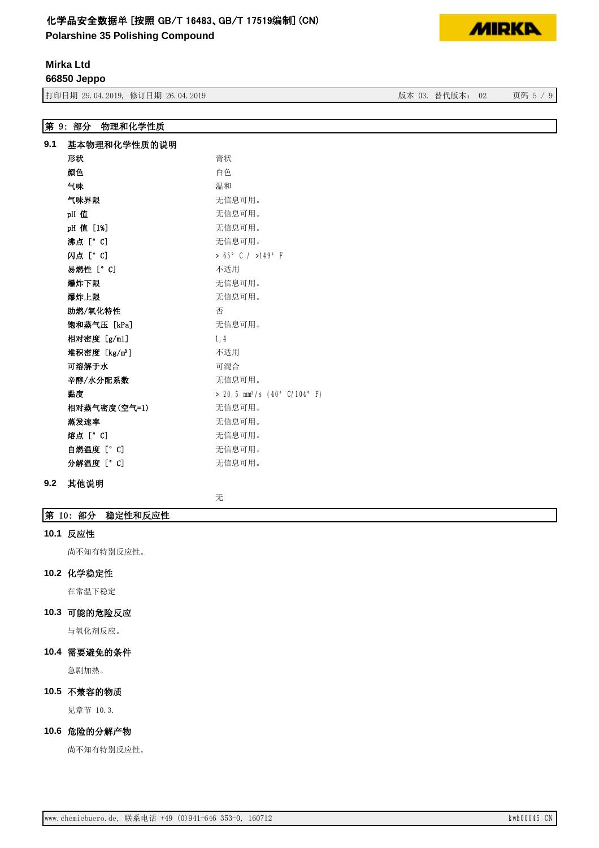**Polarshine 35 Polishing Compound**



# **Mirka Ltd**

**66850 Jeppo**

有一种 打印日期 29.04.2019, 修订日期 26.04.2019 3. 2019 20: 20:20: 第一次本 03. 替代版本: 02 页码 5 / 9

第 9: 部分 物理和化学性质

| 9.1 | 基本物理和化学性质的说明              |                                            |  |  |
|-----|---------------------------|--------------------------------------------|--|--|
|     | 形状                        | 膏状                                         |  |  |
|     | 颜色                        | 白色                                         |  |  |
|     | 气味                        | 温和                                         |  |  |
|     | 气味界限                      | 无信息可用。                                     |  |  |
|     | pH值                       | 无信息可用。                                     |  |  |
|     | pH 值 [1%]                 | 无信息可用。                                     |  |  |
|     | 沸点「°Cl                    | 无信息可用。                                     |  |  |
|     | 闪点 [° C]                  | $> 65^{\circ}$ C / $>149^{\circ}$ F        |  |  |
|     | 易燃性 [°C]                  | 不适用                                        |  |  |
|     | 爆炸下限                      | 无信息可用。                                     |  |  |
|     | 爆炸上限                      | 无信息可用。                                     |  |  |
|     | 助燃/氧化特性                   | 否                                          |  |  |
|     | 饱和蒸气压「kPal                | 无信息可用。                                     |  |  |
|     | 相对密度 [g/ml]               | 1.4                                        |  |  |
|     | 堆积密度 [kg/m <sup>3</sup> ] | 不适用                                        |  |  |
|     | 可溶解于水                     | 可混合                                        |  |  |
|     | 辛醇/水分配系数                  | 无信息可用。                                     |  |  |
|     | 黏度                        | $> 20.5$ mm <sup>2</sup> /s (40° C/104° F) |  |  |
|     | 相对蒸气密度(空气=1)              | 无信息可用。                                     |  |  |
|     | 蒸发速率                      | 无信息可用。                                     |  |  |
|     | 熔点 [° C]                  | 无信息可用。                                     |  |  |
|     | 自燃温度 [°C]                 | 无信息可用。                                     |  |  |
|     | 分解温度 [° C]                | 无信息可用。                                     |  |  |

## 9.2 其他说明

无

## 第 10: 部分 稳定性和反应性

#### 10.1 反应性

尚不知有特别反应性。

#### 10.2 化学稳定性

在常温下稳定

# 10.3 可能的危险反应

与氧化剂反应。

# 10.4 需要避免的条件

急剧加热。

# 10.5 不兼容的物质

见章节 10.3.

# 10.6 危险的分解产物

尚不知有特别反应性。

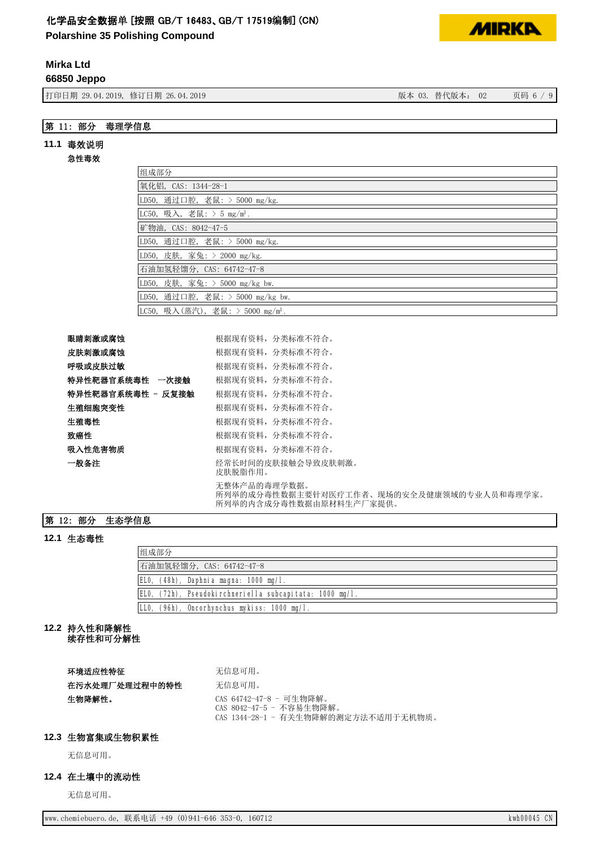**Polarshine 35 Polishing Compound**

# **Mirka Ltd**

**66850 Jeppo**

{1} \$ 50,04,2019, \$19 \$14,2019 \$ 50,04.2019 \$ 50,000 \$ 50,000 \$ 50,000 \$ 50,000 \$ 50,000 \$ 50,000 \$ 50,000 \$ 50

# 第 11: 部分 毒理学信息

### 11.1 毒效说明

#### 急性毒效

| 组成部分                                         |
|----------------------------------------------|
| 氧化铝, CAS: 1344-28-1                          |
| LD50, 通过口腔, 老鼠: > 5000 mg/kg.                |
| LC50, 吸入, 老鼠: > 5 mg/m <sup>3</sup> .        |
| 矿物油, CAS: 8042-47-5                          |
| LD50, 通过口腔, 老鼠: > 5000 mg/kg.                |
| LD50, 皮肤, 家兔: > 2000 mg/kg.                  |
| 石油加氢轻馏分, CAS: 64742-47-8                     |
| LD50, 皮肤, 家兔: > 5000 mg/kg bw.               |
| LD50, 通过口腔, 老鼠: > 5000 mg/kg bw.             |
| LC50, 吸入(蒸汽), 老鼠: > 5000 mg/m <sup>3</sup> . |

| 眼睛刺激或腐蚀           | 根据现有资料, 分类标准不符合。                                                                     |
|-------------------|--------------------------------------------------------------------------------------|
| 皮肤刺激或腐蚀           | 根据现有资料,分类标准不符合。                                                                      |
| 呼吸或皮肤过敏           | 根据现有资料,分类标准不符合。                                                                      |
| 特异性靶器官系统毒性 一次接触   | 根据现有资料,分类标准不符合。                                                                      |
| 特异性靶器官系统毒性 - 反复接触 | 根据现有资料, 分类标准不符合。                                                                     |
| 生殖细胞突变性           | 根据现有资料,分类标准不符合。                                                                      |
| 牛殖毒性              | 根据现有资料,分类标准不符合。                                                                      |
| 致癌性               | 根据现有资料,分类标准不符合。                                                                      |
| 吸入性危害物质           | 根据现有资料,分类标准不符合。                                                                      |
| 一般备注              | 经常长时间的皮肤接触会导致皮肤刺激。<br>皮肤脱脂作用。                                                        |
|                   | 无整体产品的毒理学数据。<br>所列举的成分毒性数据主要针对医疗工作者、现场的安全及健康领域的专业人员和毒理学家。<br>所列举的内含成分毒性数据由原材料生产厂家提供。 |

# 第 12: 部分 生态学信息

# 12.1 生态毒性

| 组成部分                                                    |  |  |
|---------------------------------------------------------|--|--|
| 石油加氢轻馏分, CAS: 64742-47-8                                |  |  |
| $(48h)$ , Daphnia magna: 1000 mg/l.<br>ELO.             |  |  |
| ELO, (72h), Pseudokirchneriella subcapitata: 1000 mg/l. |  |  |
| (96h), Oncorhynchus mykiss: 1000 mg/l.                  |  |  |

# 12.2 持久性和降解性

续存性和可分解性

| 环境适应性特征        | 无信息可用。                                                                                      |
|----------------|---------------------------------------------------------------------------------------------|
| 在污水处理厂处理过程中的特性 | 无信息可用。                                                                                      |
| 牛物降解性。         | CAS 64742-47-8 - 可生物降解。<br>CAS 8042-47-5 - 不容易生物降解。<br>CAS 1344-28-1 - 有关生物降解的测定方法不适用于无机物质。 |

#### 12.3 生物富集或生物积累性

无信息可用。

## 12.4 在土壤中的流动性

无信息可用。

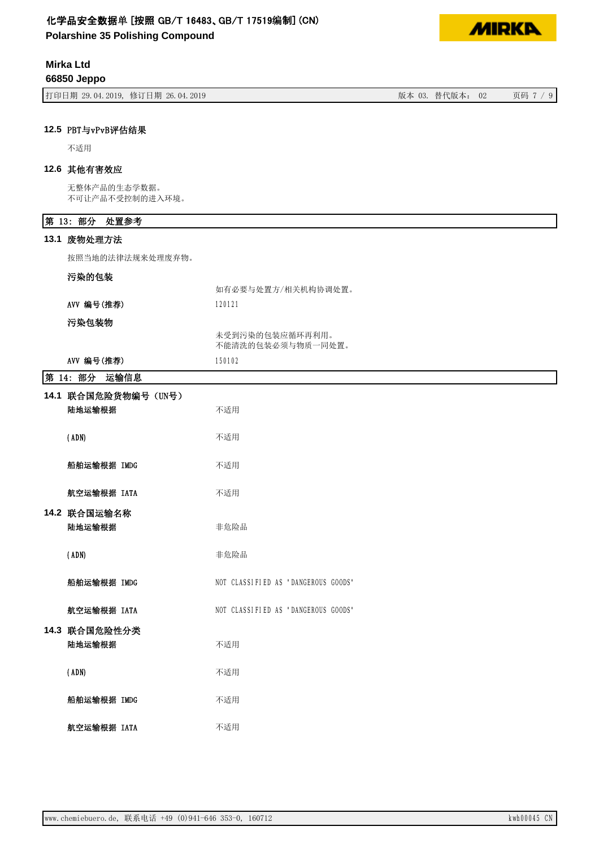**Polarshine 35 Polishing Compound**

# **Mirka Ltd**

**66850 Jeppo**

| 打印日期 29.04.2019, 修订日期 26.04.2019 | 版本 03. 替代版本: 02<br>页码 7 / 9 |
|----------------------------------|-----------------------------|
|----------------------------------|-----------------------------|

## 12.5 PBT与vPvB评估结果

不适用

## 12.6 其他有害效应

无整体产品的生态学数据。 不可让产品不受控制的进入环境。

# 第 13: 部分 处置参考

13.1 废物处理方法

按照当地的法律法规来处理废弃物。

## 污染的包装

|            | 如有必要与处置方/相关机构协调处置。                   |
|------------|--------------------------------------|
| AVV 编号(推荐) | 120121                               |
| 污染包装物      |                                      |
|            | 未受到污染的包装应循环再利用。<br>不能清洗的包装必须与物质一同处置。 |
| AVV 编号(椎差) | 150102                               |

| ハハ 洲 ケ (北仔)                    | <b>NU DCI</b>                       |
|--------------------------------|-------------------------------------|
| 第 14: 部分<br>运输信息               |                                     |
| 14.1 联合国危险货物编号 (UN号)<br>陆地运输根据 | 不适用                                 |
| (ADN)                          | 不适用                                 |
| 船舶运输根据 IMDG                    | 不适用                                 |
| 航空运输根据 IATA                    | 不适用                                 |
| 14.2 联合国运输名称<br>陆地运输根据         | 非危险品                                |
| (ADN)                          | 非危险品                                |
| 船舶运输根据 IMDG                    | NOT CLASSIFIED AS "DANGEROUS GOODS" |
| 航空运输根据 IATA                    | NOT CLASSIFIED AS "DANGEROUS GOODS" |
| 14.3 联合国危险性分类<br>陆地运输根据        | 不适用                                 |
| (ADN)                          | 不适用                                 |
| 船舶运输根据 IMDG                    | 不适用                                 |
| 航空运输根据 IATA                    | 不适用                                 |

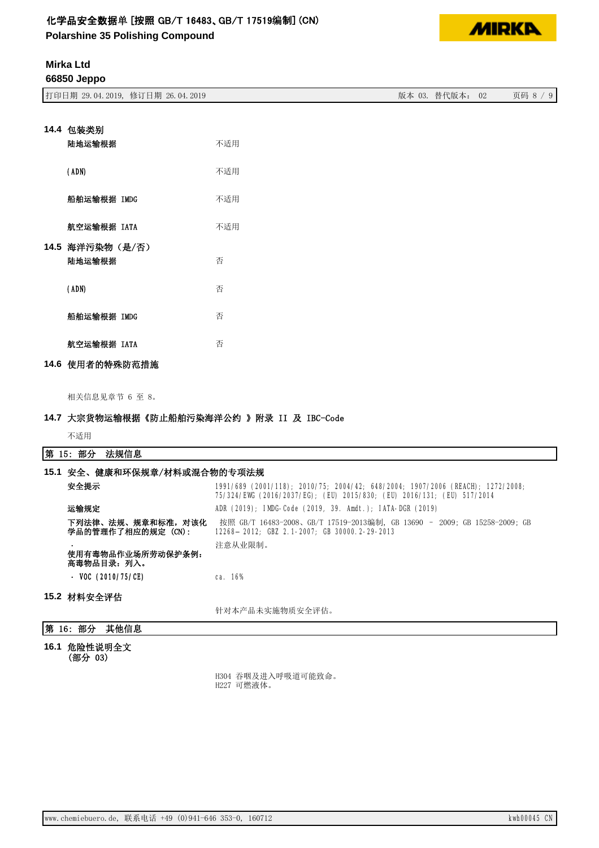**Polarshine 35 Polishing Compound**



# **Mirka Ltd**

**66850 Jeppo**

| 打印日期 29.04.2019, 修订日期 26.04.2019 | 替代版本:<br>版本 03.<br>02 | 页码 8 / |
|----------------------------------|-----------------------|--------|

| 14.4 包装类别       |     |
|-----------------|-----|
| 陆地运输根据          | 不适用 |
| (ADN)           | 不适用 |
| 船舶运输根据 IMDG     | 不适用 |
| 航空运输根据 IATA     | 不适用 |
| 14.5 海洋污染物(是/否) |     |
| 陆地运输根据          | 否   |
| (ADN)           | 否   |
| 船舶运输根据 IMDG     | 否   |
| 航空运输根据 IATA     | 否   |
| 14.6 使用者的特殊防范措施 |     |

相关信息见章节 6 至 8。

## 14.7 大宗货物运输根据《防止船舶污染海洋公约 》附录 II 及 IBC-Code

不适用

## 第 15: 部分 法规信息

| 15.1 安全、健康和环保规章/材料或混合物的专项法规            |                                                                                                                                                          |
|----------------------------------------|----------------------------------------------------------------------------------------------------------------------------------------------------------|
| 安全提示                                   | 1991/689 (2001/118); 2010/75; 2004/42; 648/2004; 1907/2006 (REACH); 1272/2008;<br>75/324/EWG (2016/2037/EG); (EU) 2015/830; (EU) 2016/131; (EU) 517/2014 |
| 运输规定                                   | ADR (2019); IMDG-Code (2019, 39. Amdt.); IATA-DGR (2019)                                                                                                 |
| 下列法律、法规、规章和标准,对该化<br>学品的管理作了相应的规定(CN): | 按照 GB/T 16483-2008、GB/T 17519-2013编制, GB 13690 - 2009; GB 15258-2009; GB<br>12268-2012; GBZ 2.1-2007; GB 30000.2-29-2013                                 |
|                                        | 注意从业限制。                                                                                                                                                  |
| 使用有毒物品作业场所劳动保护条例:<br>高毒物品目录:列入。        |                                                                                                                                                          |
| - VOC $(2010/75/CE)$                   | ca. 16%                                                                                                                                                  |
| 15.2 材料安全评估                            |                                                                                                                                                          |
|                                        | 针对本产品未实施物质安全评估。                                                                                                                                          |
| 第<br>其他信息<br>16: 部分                    |                                                                                                                                                          |

16.1 危险性说明全文 (部分 03)

> H304 吞咽及进入呼吸道可能致命。 H227 可燃液体。